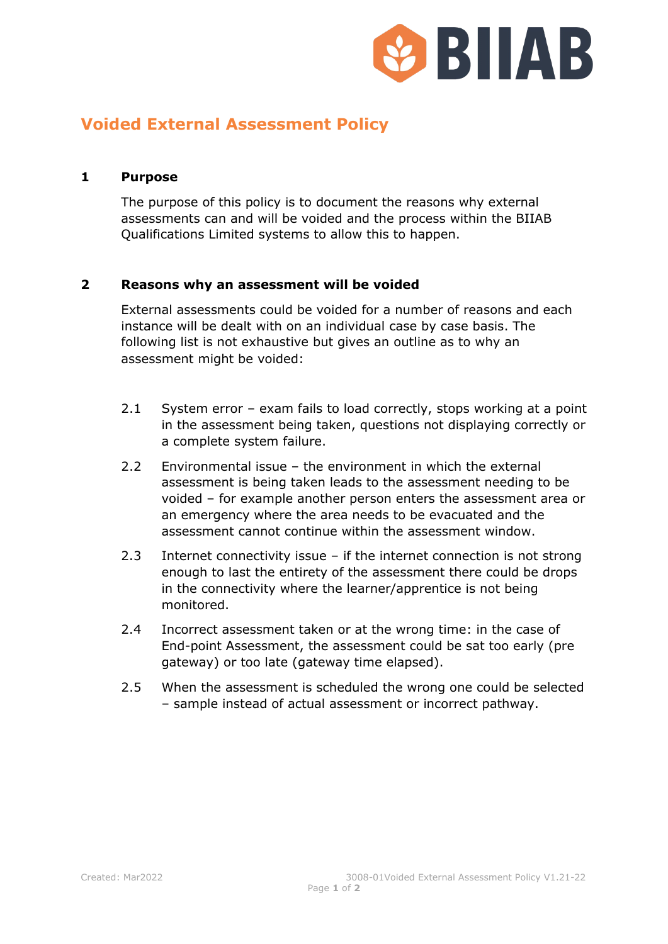

## **Voided External Assessment Policy**

## **1 Purpose**

The purpose of this policy is to document the reasons why external assessments can and will be voided and the process within the BIIAB Qualifications Limited systems to allow this to happen.

## **2 Reasons why an assessment will be voided**

External assessments could be voided for a number of reasons and each instance will be dealt with on an individual case by case basis. The following list is not exhaustive but gives an outline as to why an assessment might be voided:

- 2.1 System error exam fails to load correctly, stops working at a point in the assessment being taken, questions not displaying correctly or a complete system failure.
- 2.2 Environmental issue the environment in which the external assessment is being taken leads to the assessment needing to be voided – for example another person enters the assessment area or an emergency where the area needs to be evacuated and the assessment cannot continue within the assessment window.
- 2.3 Internet connectivity issue if the internet connection is not strong enough to last the entirety of the assessment there could be drops in the connectivity where the learner/apprentice is not being monitored.
- 2.4 Incorrect assessment taken or at the wrong time: in the case of End-point Assessment, the assessment could be sat too early (pre gateway) or too late (gateway time elapsed).
- 2.5 When the assessment is scheduled the wrong one could be selected – sample instead of actual assessment or incorrect pathway.